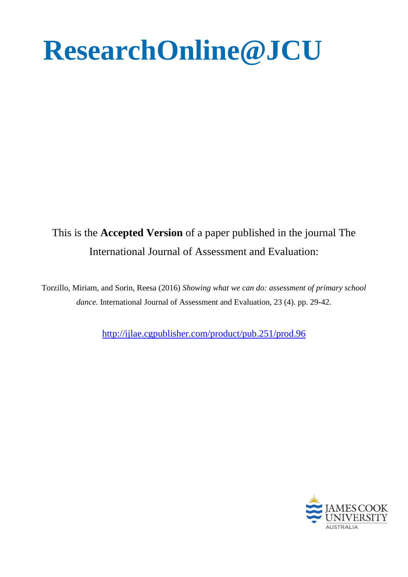# **ResearchOnline@JCU**

# This is the **Accepted Version** of a paper published in the journal The International Journal of Assessment and Evaluation:

Torzillo, Miriam, and Sorin, Reesa (2016) *Showing what we can do: assessment of primary school dance.* International Journal of Assessment and Evaluation, 23 (4). pp. 29-42.

<http://ijlae.cgpublisher.com/product/pub.251/prod.96>

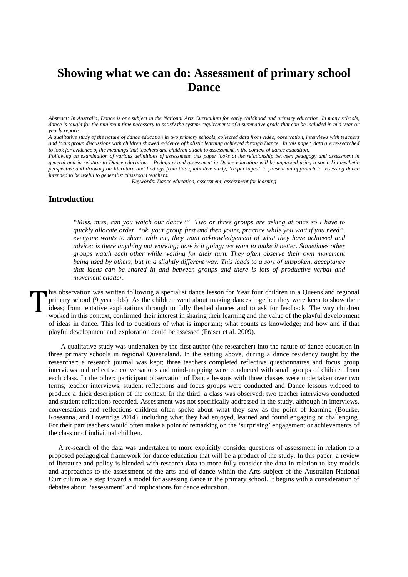# **Showing what we can do: Assessment of primary school Dance**

*Abstract: In Australia, Dance is one subject in the National Arts Curriculum for early childhood and primary education. In many schools, dance is taught for the minimum time necessary to satisfy the system requirements of a summative grade that can be included in mid-year or yearly reports.* 

*A qualitative study of the nature of dance education in two primary schools, collected data from video, observation, interviews with teachers and focus group discussions with children showed evidence of holistic learning achieved through Dance. In this paper, data are re-searched to look for evidence of the meanings that teachers and children attach to assessment in the context of dance education.* 

*Following an examination of various definitions of assessment, this paper looks at the relationship between pedagogy and assessment in general and in relation to Dance education. Pedagogy and assessment in Dance education will be unpacked using a socio-kin-aesthetic perspective and drawing on literature and findings from this qualitative study, 're-packaged' to present an approach to assessing dance intended to be useful to generalist classroom teachers.*

*Keywords: Dance education, assessment, assessment for learning*

## **Introduction**

*"Miss, miss, can you watch our dance?" Two or three groups are asking at once so I have to quickly allocate order, "ok, your group first and then yours, practice while you wait if you need", everyone wants to share with me, they want acknowledgement of what they have achieved and advice; is there anything not working; how is it going; we want to make it better. Sometimes other groups watch each other while waiting for their turn. They often observe their own movement being used by others, but in a slightly different way. This leads to a sort of unspoken, acceptance that ideas can be shared in and between groups and there is lots of productive verbal and movement chatter.*

his observation was written following a specialist dance lesson for Year four children in a Queensland regional primary school (9 year olds). As the children went about making dances together they were keen to show their ideas; from tentative explorations through to fully fleshed dances and to ask for feedback. The way children worked in this context, confirmed their interest in sharing their learning and the value of the playful development of ideas in dance. This led to questions of what is important; what counts as knowledge; and how and if that playful development and exploration could be assessed (Fraser et al. 2009).  $\prod_{i=1}^{n}$ 

 A qualitative study was undertaken by the first author (the researcher) into the nature of dance education in three primary schools in regional Queensland. In the setting above, during a dance residency taught by the researcher: a research journal was kept; three teachers completed reflective questionnaires and focus group interviews and reflective conversations and mind-mapping were conducted with small groups of children from each class. In the other: participant observation of Dance lessons with three classes were undertaken over two terms; teacher interviews, student reflections and focus groups were conducted and Dance lessons videoed to produce a thick description of the context. In the third: a class was observed; two teacher interviews conducted and student reflections recorded. Assessment was not specifically addressed in the study, although in interviews, conversations and reflections children often spoke about what they saw as the point of learning (Bourke, Roseanna, and Loveridge 2014), including what they had enjoyed, learned and found engaging or challenging. For their part teachers would often make a point of remarking on the 'surprising' engagement or achievements of the class or of individual children.

A re-search of the data was undertaken to more explicitly consider questions of assessment in relation to a proposed pedagogical framework for dance education that will be a product of the study. In this paper, a review of literature and policy is blended with research data to more fully consider the data in relation to key models and approaches to the assessment of the arts and of dance within the Arts subject of the Australian National Curriculum as a step toward a model for assessing dance in the primary school. It begins with a consideration of debates about 'assessment' and implications for dance education.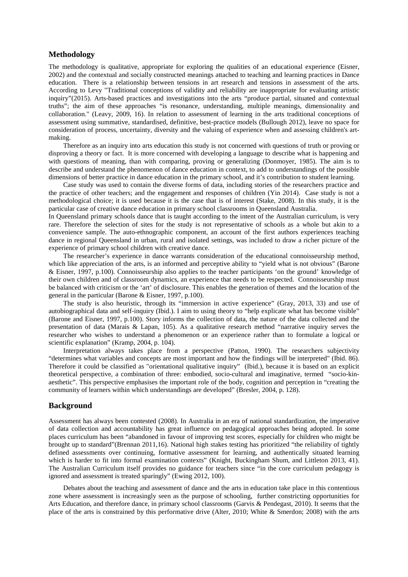## **Methodology**

The methodology is qualitative, appropriate for exploring the qualities of an educational experience (Eisner, 2002) and the contextual and socially constructed meanings attached to teaching and learning practices in Dance education. There is a relationship between tensions in art research and tensions in assessment of the arts. According to Levy "Traditional conceptions of validity and reliability are inappropriate for evaluating artistic inquiry"(2015). Arts-based practices and investigations into the arts "produce partial, situated and contextual truths"; the aim of these approaches "is resonance, understanding, multiple meanings, dimensionality and collaboration." (Leavy, 2009, 16). In relation to assessment of learning in the arts traditional conceptions of assessment using summative, standardised, definitive, best-practice models (Bullough 2012), leave no space for consideration of process, uncertainty, diversity and the valuing of experience when and assessing children's artmaking.

Therefore as an inquiry into arts education this study is not concerned with questions of truth or proving or disproving a theory or fact. It is more concerned with developing a language to describe what is happening and with questions of meaning, than with comparing, proving or generalizing (Donmoyer, 1985). The aim is to describe and understand the phenomenon of dance education in context, to add to understandings of the possible dimensions of better practice in dance education in the primary school, and it's contribution to student learning.

Case study was used to contain the diverse forms of data, including stories of the researchers practice and the practice of other teachers; and the engagement and responses of children (Yin 2014). Case study is not a methodological choice; it is used because it is the case that is of interest (Stake, 2008). In this study, it is the particular case of creative dance education in primary school classrooms in Queensland Australia.

In Queensland primary schools dance that is taught according to the intent of the Australian curriculum, is very rare. Therefore the selection of sites for the study is not representative of schools as a whole but akin to a convenience sample. The auto-ethnographic component, an account of the first authors experiences teaching dance in regional Queensland in urban, rural and isolated settings, was included to draw a richer picture of the experience of primary school children with creative dance.

The researcher's experience in dance warrants consideration of the educational connoisseurship method, which like appreciation of the arts, is an informed and perceptive ability to "yield what is not obvious" (Barone & Eisner, 1997, p.100). Connoisseurship also applies to the teacher participants 'on the ground' knowledge of their own children and of classroom dynamics, an experience that needs to be respected. Connoisseurship must be balanced with criticism or the 'art' of disclosure. This enables the generation of themes and the location of the general in the particular (Barone & Eisner, 1997, p.100).

The study is also heuristic, through its "immersion in active experience" (Gray, 2013, 33) and use of autobiographical data and self-inquiry (Ibid.). I aim to using theory to "help explicate what has become visible" (Barone and Eisner, 1997, p.100). Story informs the collection of data, the nature of the data collected and the presentation of data (Marais & Lapan, 105). As a qualitative research method "narrative inquiry serves the researcher who wishes to understand a phenomenon or an experience rather than to formulate a logical or scientific explanation" (Kramp, 2004, p. 104).

Interpretation always takes place from a perspective (Patton, 1990). The researchers subjectivity "determines what variables and concepts are most important and how the findings will be interpreted" (Ibid. 86). Therefore it could be classified as "orientational qualitative inquiry" (Ibid.), because it is based on an explicit theoretical perspective, a combination of three: embodied, socio-cultural and imaginative, termed "socio-kinaesthetic". This perspective emphasises the important role of the body, cognition and perception in "creating the community of learners within which understandings are developed" (Bresler, 2004, p. 128).

## **Background**

Assessment has always been contested (2008). In Australia in an era of national standardization, the imperative of data collection and accountability has great influence on pedagogical approaches being adopted. In some places curriculum has been "abandoned in favour of improving test scores, especially for children who might be brought up to standard"(Brennan 2011,16). National high stakes testing has prioritized "the reliability of tightly defined assessments over continuing, formative assessment for learning, and authentically situated learning which is harder to fit into formal examination contexts" (Knight, Buckingham Shum, and Littleton 2013, 41). The Australian Curriculum itself provides no guidance for teachers since "in the core curriculum pedagogy is ignored and assessment is treated sparingly" (Ewing 2012, 100).

Debates about the teaching and assessment of dance and the arts in education take place in this contentious zone where assessment is increasingly seen as the purpose of schooling, further constricting opportunities for Arts Education, and therefore dance, in primary school classrooms (Garvis & Pendegast, 2010). It seems that the place of the arts is constrained by this performative drive (Alter, 2010; White & Smerdon; 2008) with the arts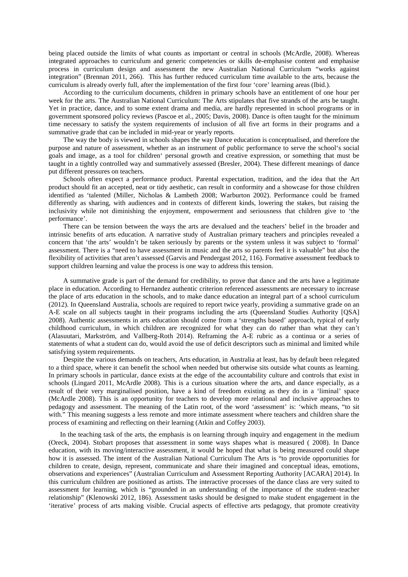being placed outside the limits of what counts as important or central in schools (McArdle, 2008). Whereas integrated approaches to curriculum and generic competencies or skills de-emphasise content and emphasise process in curriculum design and assessment the new Australian National Curriculum "works against integration" (Brennan 2011, 266). This has further reduced curriculum time available to the arts, because the curriculum is already overly full, after the implementation of the first four 'core' learning areas (Ibid.).

According to the curriculum documents, children in primary schools have an entitlement of one hour per week for the arts. The Australian National Curriculum: The Arts stipulates that five strands of the arts be taught. Yet in practice, dance, and to some extent drama and media, are hardly represented in school programs or in government sponsored policy reviews (Pascoe et al., 2005; Davis, 2008). Dance is often taught for the minimum time necessary to satisfy the system requirements of inclusion of all five art forms in their programs and a summative grade that can be included in mid-year or yearly reports.

The way the body is viewed in schools shapes the way Dance education is conceptualised, and therefore the purpose and nature of assessment, whether as an instrument of public performance to serve the school's social goals and image, as a tool for children' personal growth and creative expression, or something that must be taught in a tightly controlled way and summatively assessed (Bresler, 2004). These different meanings of dance put different pressures on teachers.

Schools often expect a performance product. Parental expectation, tradition, and the idea that the Art product should fit an accepted, neat or tidy aesthetic, can result in conformity and a showcase for those children identified as 'talented (Miller, Nicholas & Lambeth 2008; Warburton 2002). Performance could be framed differently as sharing, with audiences and in contexts of different kinds, lowering the stakes, but raising the inclusivity while not diminishing the enjoyment, empowerment and seriousness that children give to 'the performance'.

There can be tension between the ways the arts are devalued and the teachers' belief in the broader and intrinsic benefits of arts education. A narrative study of Australian primary teachers and principles revealed a concern that 'the arts' wouldn't be taken seriously by parents or the system unless it was subject to 'formal' assessment. There is a "need to have assessment in music and the arts so parents feel it is valuable" but also the flexibility of activities that aren't assessed (Garvis and Pendergast 2012, 116). Formative assessment feedback to support children learning and value the process is one way to address this tension.

A summative grade is part of the demand for credibility, to prove that dance and the arts have a legitimate place in education. According to Hernandez authentic criterion referenced assessments are necessary to increase the place of arts education in the schools, and to make dance education an integral part of a school curriculum (2012). In Queensland Australia, schools are required to report twice yearly, providing a summative grade on an A-E scale on all subjects taught in their programs including the arts (Queensland Studies Authority [QSA] 2008). Authentic assessments in arts education should come from a 'strengths based' approach, typical of early childhood curriculum, in which children are recognized for what they can do rather than what they can't (Alasuutari, Markström, and Vallberg-Roth 2014). Reframing the A-E rubric as a continua or a series of statements of what a student can do, would avoid the use of deficit descriptors such as minimal and limited while satisfying system requirements.

Despite the various demands on teachers, Arts education, in Australia at least, has by default been relegated to a third space, where it can benefit the school when needed but otherwise sits outside what counts as learning. In primary schools in particular, dance exists at the edge of the accountability culture and controls that exist in schools (Lingard 2011, McArdle 2008). This is a curious situation where the arts, and dance especially, as a result of their very marginalised position, have a kind of freedom existing as they do in a 'liminal' space (McArdle 2008). This is an opportunity for teachers to develop more relational and inclusive approaches to pedagogy and assessment. The meaning of the Latin root, of the word 'assessment' is: 'which means, "to sit with." This meaning suggests a less remote and more intimate assessment where teachers and children share the process of examining and reflecting on their learning (Atkin and Coffey 2003).

In the teaching task of the arts, the emphasis is on learning through inquiry and engagement in the medium (Oreck, 2004). Stobart proposes that assessment in some ways shapes what is measured ( 2008). In Dance education, with its moving/interactive assessment, it would be hoped that what is being measured could shape how it is assessed. The intent of the Australian National Curriculum The Arts is "to provide opportunities for children to create, design, represent, communicate and share their imagined and conceptual ideas, emotions, observations and experiences" (Australian Curriculum and Assessment Reporting Authority [ACARA] 2014). In this curriculum children are positioned as artists. The interactive processes of the dance class are very suited to assessment for learning, which is "grounded in an understanding of the importance of the student–teacher relationship" (Klenowski 2012, 186). Assessment tasks should be designed to make student engagement in the 'iterative' process of arts making visible. Crucial aspects of effective arts pedagogy, that promote creativity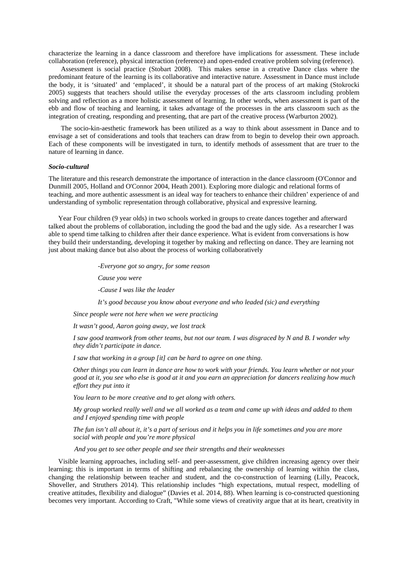characterize the learning in a dance classroom and therefore have implications for assessment. These include collaboration (reference), physical interaction (reference) and open-ended creative problem solving (reference).

Assessment is social practice (Stobart 2008). This makes sense in a creative Dance class where the predominant feature of the learning is its collaborative and interactive nature. Assessment in Dance must include the body, it is 'situated' and 'emplaced', it should be a natural part of the process of art making (Stokrocki 2005) suggests that teachers should utilise the everyday processes of the arts classroom including problem solving and reflection as a more holistic assessment of learning. In other words, when assessment is part of the ebb and flow of teaching and learning, it takes advantage of the processes in the arts classroom such as the integration of creating, responding and presenting, that are part of the creative process (Warburton 2002).

The socio-kin-aesthetic framework has been utilized as a way to think about assessment in Dance and to envisage a set of considerations and tools that teachers can draw from to begin to develop their own approach. Each of these components will be investigated in turn, to identify methods of assessment that are truer to the nature of learning in dance.

#### *Socio-cultural*

The literature and this research demonstrate the importance of interaction in the dance classroom (O'Connor and Dunmill 2005, Holland and O'Connor 2004, Heath 2001). Exploring more dialogic and relational forms of teaching, and more authentic assessment is an ideal way for teachers to enhance their children' experience of and understanding of symbolic representation through collaborative, physical and expressive learning.

Year Four children (9 year olds) in two schools worked in groups to create dances together and afterward talked about the problems of collaboration, including the good the bad and the ugly side. As a researcher I was able to spend time talking to children after their dance experience. What is evident from conversations is how they build their understanding, developing it together by making and reflecting on dance. They are learning not just about making dance but also about the process of working collaboratively

*-Everyone got so angry, for some reason*

*Cause you were*

*-Cause I was like the leader*

*It's good because you know about everyone and who leaded (sic) and everything*

*Since people were not here when we were practicing*

*It wasn't good, Aaron going away, we lost track*

*I saw good teamwork from other teams, but not our team. I was disgraced by N and B. I wonder why they didn't participate in dance.*

*I saw that working in a group [it] can be hard to agree on one thing.*

*Other things you can learn in dance are how to work with your friends. You learn whether or not your good at it, you see who else is good at it and you earn an appreciation for dancers realizing how much effort they put into it*

*You learn to be more creative and to get along with others.*

*My group worked really well and we all worked as a team and came up with ideas and added to them and I enjoyed spending time with people*

*The fun isn't all about it, it's a part of serious and it helps you in life sometimes and you are more social with people and you're more physical*

 *And you get to see other people and see their strengths and their weaknesses*

Visible learning approaches, including self- and peer-assessment, give children increasing agency over their learning; this is important in terms of shifting and rebalancing the ownership of learning within the class, changing the relationship between teacher and student, and the co-construction of learning (Lilly, Peacock, Shoveller, and Struthers 2014). This relationship includes "high expectations, mutual respect, modelling of creative attitudes, flexibility and dialogue" (Davies et al. 2014, 88). When learning is co-constructed questioning becomes very important. According to Craft, "While some views of creativity argue that at its heart, creativity in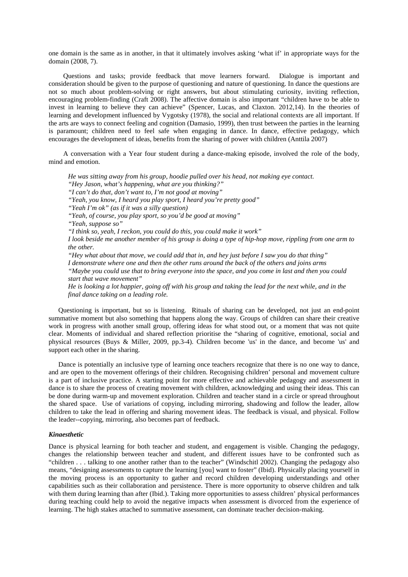one domain is the same as in another, in that it ultimately involves asking 'what if' in appropriate ways for the domain (2008, 7).

Questions and tasks; provide feedback that move learners forward. Dialogue is important and consideration should be given to the purpose of questioning and nature of questioning. In dance the questions are not so much about problem-solving or right answers, but about stimulating curiosity, inviting reflection, encouraging problem-finding (Craft 2008). The affective domain is also important "children have to be able to invest in learning to believe they can achieve" (Spencer, Lucas, and Claxton. 2012,14). In the theories of learning and development influenced by Vygotsky (1978), the social and relational contexts are all important. If the arts are ways to connect feeling and cognition (Damasio, 1999), then trust between the parties in the learning is paramount; children need to feel safe when engaging in dance. In dance, effective pedagogy, which encourages the development of ideas, benefits from the sharing of power with children (Anttila 2007)

A conversation with a Year four student during a dance-making episode, involved the role of the body, mind and emotion.

*He was sitting away from his group, hoodie pulled over his head, not making eye contact. "Hey Jason, what's happening, what are you thinking?" "I can't do that, don't want to, I'm not good at moving" "Yeah, you know, I heard you play sport, I heard you're pretty good" "Yeah I'm ok" (as if it was a silly question) "Yeah, of course, you play sport, so you'd be good at moving" "Yeah, suppose so" "I think so, yeah, I reckon, you could do this, you could make it work" I look beside me another member of his group is doing a type of hip-hop move, rippling from one arm to the other. "Hey what about that move, we could add that in, and hey just before I saw you do that thing" I demonstrate where one and then the other runs around the back of the others and joins arms "Maybe you could use that to bring everyone into the space, and you come in last and then you could start that wave movement"*

*He is looking a lot happier, going off with his group and taking the lead for the next while, and in the final dance taking on a leading role.*

Questioning is important, but so is listening. Rituals of sharing can be developed, not just an end-point summative moment but also something that happens along the way. Groups of children can share their creative work in progress with another small group, offering ideas for what stood out, or a moment that was not quite clear. Moments of individual and shared reflection prioritise the "sharing of cognitive, emotional, social and physical resources (Buys & Miller, 2009, pp.3-4). Children become 'us' in the dance, and become 'us' and support each other in the sharing.

Dance is potentially an inclusive type of learning once teachers recognize that there is no one way to dance, and are open to the movement offerings of their children. Recognising children' personal and movement culture is a part of inclusive practice. A starting point for more effective and achievable pedagogy and assessment in dance is to share the process of creating movement with children, acknowledging and using their ideas. This can be done during warm-up and movement exploration. Children and teacher stand in a circle or spread throughout the shared space. Use of variations of copying, including mirroring, shadowing and follow the leader, allow children to take the lead in offering and sharing movement ideas. The feedback is visual, and physical. Follow the leader--copying, mirroring, also becomes part of feedback.

#### *Kinaesthetic*

Dance is physical learning for both teacher and student, and engagement is visible. Changing the pedagogy, changes the relationship between teacher and student, and different issues have to be confronted such as "children . . . talking to one another rather than to the teacher" (Windschitl 2002). Changing the pedagogy also means, "designing assessments to capture the learning [you] want to foster" (Ibid). Physically placing yourself in the moving process is an opportunity to gather and record children developing understandings and other capabilities such as their collaboration and persistence. There is more opportunity to observe children and talk with them during learning than after (Ibid.). Taking more opportunities to assess children' physical performances during teaching could help to avoid the negative impacts when assessment is divorced from the experience of learning. The high stakes attached to summative assessment, can dominate teacher decision-making.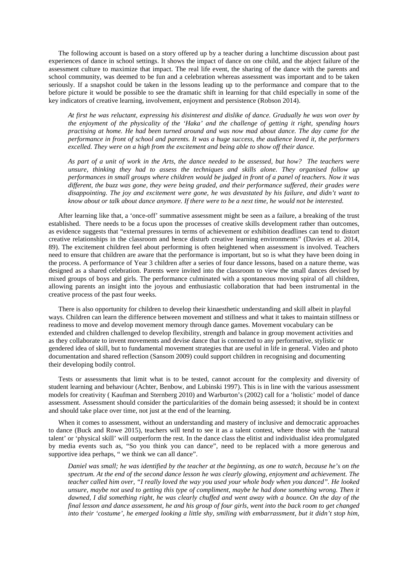The following account is based on a story offered up by a teacher during a lunchtime discussion about past experiences of dance in school settings. It shows the impact of dance on one child, and the abject failure of the assessment culture to maximize that impact. The real life event, the sharing of the dance with the parents and school community, was deemed to be fun and a celebration whereas assessment was important and to be taken seriously. If a snapshot could be taken in the lessons leading up to the performance and compare that to the before picture it would be possible to see the dramatic shift in learning for that child especially in some of the key indicators of creative learning, involvement, enjoyment and persistence (Robson 2014).

*At first he was reluctant, expressing his disinterest and dislike of dance. Gradually he was won over by the enjoyment of the physicality of the 'Haka' and the challenge of getting it right, spending hours practising at home. He had been turned around and was now mad about dance. The day came for the performance in front of school and parents. It was a huge success, the audience loved it, the performers excelled. They were on a high from the excitement and being able to show off their dance.* 

*As part of a unit of work in the Arts, the dance needed to be assessed, but how? The teachers were unsure, thinking they had to assess the techniques and skills alone. They organised follow up performances in small groups where children would be judged in front of a panel of teachers. Now it was different, the buzz was gone, they were being graded, and their performance suffered, their grades were disappointing. The joy and excitement were gone, he was devastated by his failure, and didn't want to know about or talk about dance anymore. If there were to be a next time, he would not be interested.* 

After learning like that, a 'once-off' summative assessment might be seen as a failure, a breaking of the trust established. There needs to be a focus upon the processes of creative skills development rather than outcomes, as evidence suggests that "external pressures in terms of achievement or exhibition deadlines can tend to distort creative relationships in the classroom and hence disturb creative learning environments" (Davies et al. 2014, 89). The excitement children feel about performing is often heightened when assessment is involved. Teachers need to ensure that children are aware that the performance is important, but so is what they have been doing in the process. A performance of Year 3 children after a series of four dance lessons, based on a nature theme, was designed as a shared celebration. Parents were invited into the classroom to view the small dances devised by mixed groups of boys and girls. The performance culminated with a spontaneous moving spiral of all children, allowing parents an insight into the joyous and enthusiastic collaboration that had been instrumental in the creative process of the past four weeks.

There is also opportunity for children to develop their kinaesthetic understanding and skill albeit in playful ways. Children can learn the difference between movement and stillness and what it takes to maintain stillness or readiness to move and develop movement memory through dance games. Movement vocabulary can be extended and children challenged to develop flexibility, strength and balance in group movement activities and as they collaborate to invent movements and devise dance that is connected to any performative, stylistic or gendered idea of skill, but to fundamental movement strategies that are useful in life in general. Video and photo documentation and shared reflection (Sansom 2009) could support children in recognising and documenting their developing bodily control.

Tests or assessments that limit what is to be tested, cannot account for the complexity and diversity of student learning and behaviour (Achter, Benbow, and Lubinski 1997). This is in line with the various assessment models for creativity ( Kaufman and Sternberg 2010) and Warburton's (2002) call for a 'holistic' model of dance assessment. Assessment should consider the particularities of the domain being assessed; it should be in context and should take place over time, not just at the end of the learning.

When it comes to assessment, without an understanding and mastery of inclusive and democratic approaches to dance (Buck and Rowe 2015), teachers will tend to see it as a talent contest, where those with the 'natural talent' or 'physical skill' will outperform the rest. In the dance class the elitist and individualist idea promulgated by media events such as, "So you think you can dance", need to be replaced with a more generous and supportive idea perhaps, " we think we can all dance".

*Daniel was small; he was identified by the teacher at the beginning, as one to watch, because he's on the spectrum. At the end of the second dance lesson he was clearly glowing, enjoyment and achievement. The teacher called him over, "I really loved the way you used your whole body when you danced". He looked unsure, maybe not used to getting this type of compliment, maybe he had done something wrong. Then it dawned, I did something right, he was clearly chuffed and went away with a bounce. On the day of the final lesson and dance assessment, he and his group of four girls, went into the back room to get changed into their 'costume', he emerged looking a little shy, smiling with embarrassment, but it didn't stop him,*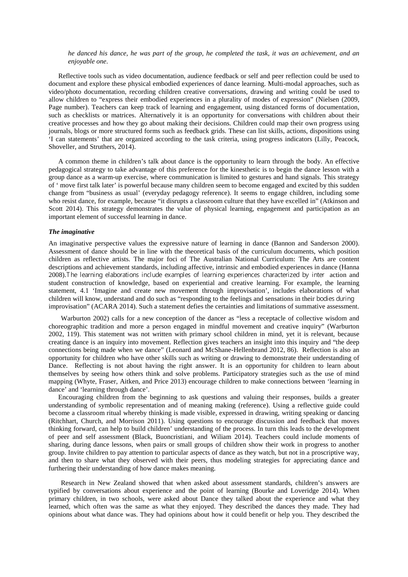*he danced his dance, he was part of the group, he completed the task, it was an achievement, and an enjoyable one*.

Reflective tools such as video documentation, audience feedback or self and peer reflection could be used to document and explore these physical embodied experiences of dance learning. Multi-modal approaches, such as video/photo documentation, recording children creative conversations, drawing and writing could be used to allow children to "express their embodied experiences in a plurality of modes of expression" (Nielsen (2009, Page number). Teachers can keep track of learning and engagement, using distanced forms of documentation, such as checklists or matrices. Alternatively it is an opportunity for conversations with children about their creative processes and how they go about making their decisions. Children could map their own progress using journals, blogs or more structured forms such as feedback grids. These can list skills, actions, dispositions using 'I can statements' that are organized according to the task criteria, using progress indicators (Lilly, Peacock, Shoveller, and Struthers, 2014).

A common theme in children's talk about dance is the opportunity to learn through the body. An effective pedagogical strategy to take advantage of this preference for the kinesthetic is to begin the dance lesson with a group dance as a warm-up exercise, where communication is limited to gestures and hand signals. This strategy of ' move first talk later' is powerful because many children seem to become engaged and excited by this sudden change from "business as usual' (everyday pedagogy reference). It seems to engage children, including some who resist dance, for example, because "it disrupts a classroom culture that they have excelled in" (Atkinson and Scott 2014). This strategy demonstrates the value of physical learning, engagement and participation as an important element of successful learning in dance.

#### *The imaginative*

An imaginative perspective values the expressive nature of learning in dance (Bannon and Sanderson 2000). Assessment of dance should be in line with the theoretical basis of the curriculum documents, which position children as reflective artists. The major foci of The Australian National Curriculum: The Arts are content descriptions and achievement standards, including affective, intrinsic and embodied experiences in dance (Hanna 2008).The learning elaborations include examples of learning experiences characterized by inter action and student construction of knowledge, based on experiential and creative learning. For example, the learning statement, 4.1 'Imagine and create new movement through improvisation', includes elaborations of what children will know, understand and do such as "responding to the feelings and sensations in their bodies during improvisation" (ACARA 2014). Such a statement defies the certainties and limitations of summative assessment.

Warburton 2002) calls for a new conception of the dancer as "less a receptacle of collective wisdom and choreographic tradition and more a person engaged in mindful movement and creative inquiry" (Warburton 2002, 119). This statement was not written with primary school children in mind, yet it is relevant, because creating dance is an inquiry into movement. Reflection gives teachers an insight into this inquiry and "the deep connections being made when we dance" (Leonard and McShane-Hellenbrand 2012, 86). Reflection is also an opportunity for children who have other skills such as writing or drawing to demonstrate their understanding of Dance. Reflecting is not about having the right answer. It is an opportunity for children to learn about themselves by seeing how others think and solve problems. Participatory strategies such as the use of mind mapping (Whyte, Fraser, Aitken, and Price 2013) encourage children to make connections between 'learning in dance' and 'learning through dance'.

Encouraging children from the beginning to ask questions and valuing their responses, builds a greater understanding of symbolic representation and of meaning making (reference). Using a reflective guide could become a classroom ritual whereby thinking is made visible, expressed in drawing, writing speaking or dancing (Ritchhart, Church, and Morrison 2011). Using questions to encourage discussion and feedback that moves thinking forward, can help to build children' understanding of the process. In turn this leads to the development of peer and self assessment (Black, Buoncristiani, and Wiliam 2014). Teachers could include moments of sharing, during dance lessons, when pairs or small groups of children show their work in progress to another group. Invite children to pay attention to particular aspects of dance as they watch, but not in a proscriptive way, and then to share what they observed with their peers, thus modeling strategies for appreciating dance and furthering their understanding of how dance makes meaning.

Research in New Zealand showed that when asked about assessment standards, children's answers are typified by conversations about experience and the point of learning (Bourke and Loveridge 2014). When primary children, in two schools, were asked about Dance they talked about the experience and what they learned, which often was the same as what they enjoyed. They described the dances they made. They had opinions about what dance was. They had opinions about how it could benefit or help you. They described the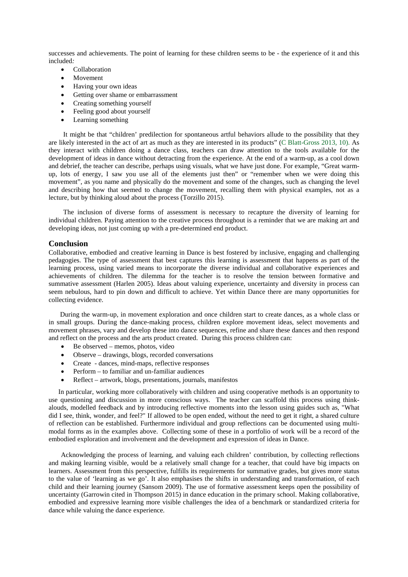successes and achievements. The point of learning for these children seems to be - the experience of it and this included*:*

- Collaboration
- **Movement**
- Having your own ideas
- Getting over shame or embarrassment
- Creating something yourself
- Feeling good about yourself
- Learning something

It might be that "children' predilection for spontaneous artful behaviors allude to the possibility that they are likely interested in the act of art as much as they are interested in its products" (C Blatt-Gross 2013, 10). As they interact with children doing a dance class, teachers can draw attention to the tools available for the development of ideas in dance without detracting from the experience. At the end of a warm-up, as a cool down and debrief, the teacher can describe, perhaps using visuals, what we have just done. For example, "Great warmup, lots of energy, I saw you use all of the elements just then" or "remember when we were doing this movement", as you name and physically do the movement and some of the changes, such as changing the level and describing how that seemed to change the movement, recalling them with physical examples, not as a lecture, but by thinking aloud about the process (Torzillo 2015).

The inclusion of diverse forms of assessment is necessary to recapture the diversity of learning for individual children. Paying attention to the creative process throughout is a reminder that we are making art and developing ideas, not just coming up with a pre-determined end product.

#### **Conclusion**

Collaborative, embodied and creative learning in Dance is best fostered by inclusive, engaging and challenging pedagogies. The type of assessment that best captures this learning is assessment that happens as part of the learning process, using varied means to incorporate the diverse individual and collaborative experiences and achievements of children. The dilemma for the teacher is to resolve the tension between formative and summative assessment (Harlen 2005). Ideas about valuing experience, uncertainty and diversity in process can seem nebulous, hard to pin down and difficult to achieve. Yet within Dance there are many opportunities for collecting evidence.

During the warm-up, in movement exploration and once children start to create dances, as a whole class or in small groups. During the dance-making process, children explore movement ideas, select movements and movement phrases, vary and develop these into dance sequences, refine and share these dances and then respond and reflect on the process and the arts product created. During this process children can:

- Be observed memos, photos, video
- Observe drawings, blogs, recorded conversations
- Create dances, mind-maps, reflective responses
- Perform to familiar and un-familiar audiences
- Reflect artwork, blogs, presentations, journals, manifestos

In particular, working more collaboratively with children and using cooperative methods is an opportunity to use questioning and discussion in more conscious ways. The teacher can scaffold this process using thinkalouds, modelled feedback and by introducing reflective moments into the lesson using guides such as, "What did I see, think, wonder, and feel?" If allowed to be open ended, without the need to get it right, a shared culture of reflection can be established. Furthermore individual and group reflections can be documented using multimodal forms as in the examples above. Collecting some of these in a portfolio of work will be a record of the embodied exploration and involvement and the development and expression of ideas in Dance.

Acknowledging the process of learning, and valuing each children' contribution, by collecting reflections and making learning visible, would be a relatively small change for a teacher, that could have big impacts on learners. Assessment from this perspective, fulfills its requirements for summative grades, but gives more status to the value of 'learning as we go'. It also emphasises the shifts in understanding and transformation, of each child and their learning journey (Sansom 2009). The use of formative assessment keeps open the possibility of uncertainty (Garrowin cited in Thompson 2015) in dance education in the primary school. Making collaborative, embodied and expressive learning more visible challenges the idea of a benchmark or standardized criteria for dance while valuing the dance experience.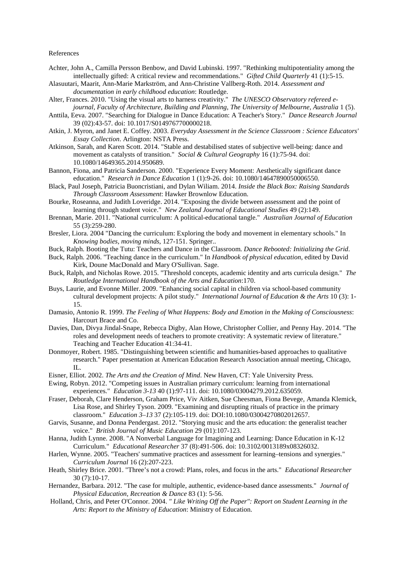#### References

- Achter, John A., Camilla Persson Benbow, and David Lubinski. 1997. "Rethinking multipotentiality among the intellectually gifted: A critical review and recommendations." *Gifted Child Quarterly* 41 (1):5-15.
- Alasuutari, Maarit, Ann-Marie Markström, and Ann-Christine Vallberg-Roth. 2014. *Assessment and documentation in early childhood education*: Routledge.
- Alter, Frances. 2010. "Using the visual arts to harness creativity." *The UNESCO Observatory refereed ejournal, Faculty of Architecture, Building and Planning, The University of Melbourne, Australia* 1 (5).
- Anttila, Eeva. 2007. "Searching for Dialogue in Dance Education: A Teacher's Story." *Dance Research Journal* 39 (02):43-57. doi: 10.1017/S0149767700000218.
- Atkin, J. Myron, and Janet E. Coffey. 2003. *Everyday Assessment in the Science Classroom : Science Educators' Essay Collection*. Arlington: NSTA Press.
- Atkinson, Sarah, and Karen Scott. 2014. "Stable and destabilised states of subjective well-being: dance and movement as catalysts of transition." *Social & Cultural Geography* 16 (1):75-94. doi: 10.1080/14649365.2014.950689.
- Bannon, Fiona, and Patricia Sanderson. 2000. "Experience Every Moment: Aesthetically significant dance education." *Research in Dance Education* 1 (1):9-26. doi: 10.1080/14647890050006550.
- Black, Paul Joseph, Patricia Buoncristiani, and Dylan Wiliam. 2014. *Inside the Black Box: Raising Standards Through Classroom Assessment*: Hawker Brownlow Education.
- Bourke, Roseanna, and Judith Loveridge. 2014. "Exposing the divide between assessment and the point of learning through student voice." *New Zealand Journal of Educational Studies* 49 (2):149.
- Brennan, Marie. 2011. "National curriculum: A political-educational tangle." *Australian Journal of Education* 55 (3):259-280.
- Bresler, Liora. 2004 "Dancing the curriculum: Exploring the body and movement in elementary schools." In *Knowing bodies, moving minds*, 127-151. Springer..
- Buck, Ralph. Booting the Tutu: Teachers and Dance in the Classroom. *Dance Rebooted: Initializing the Grid*.
- Buck, Ralph. 2006. "Teaching dance in the curriculum." In *Handbook of physical education*, edited by David Kirk, Doune MacDonald and Mary O'Sullivan. Sage.
- Buck, Ralph, and Nicholas Rowe. 2015. "Threshold concepts, academic identity and arts curricula design." *The Routledge International Handbook of the Arts and Education*:170.
- Buys, Laurie, and Evonne Miller. 2009. "Enhancing social capital in children via school-based community cultural development projects: A pilot study." *International Journal of Education & the Arts* 10 (3): 1- 15.
- Damasio, Antonio R. 1999. *The Feeling of What Happens: Body and Emotion in the Making of Consciousness*: Harcourt Brace and Co.
- Davies, Dan, Divya Jindal-Snape, Rebecca Digby, Alan Howe, Christopher Collier, and Penny Hay. 2014. "The roles and development needs of teachers to promote creativity: A systematic review of literature." Teaching and Teacher Education 41:34-41.
- Donmoyer, Robert. 1985. "Distinguishing between scientific and humanities-based approaches to qualitative research." Paper presentation at American Education Research Association annual meeting, Chicago, IL.
- Eisner, Elliot. 2002. *The Arts and the Creation of Mind*. New Haven, CT: Yale University Press.
- Ewing, Robyn. 2012. "Competing issues in Australian primary curriculum: learning from international experiences." *Education 3-13* 40 (1):97-111. doi: 10.1080/03004279.2012.635059.
- Fraser, Deborah, Clare Henderson, Graham Price, Viv Aitken, Sue Cheesman, Fiona Bevege, Amanda Klemick, Lisa Rose, and Shirley Tyson. 2009. "Examining and disrupting rituals of practice in the primary classroom." *Education 3–13* 37 (2):105-119. doi: DOI:10.1080/03004270802012657.
- Garvis, Susanne, and Donna Pendergast. 2012. "Storying music and the arts education: the generalist teacher voice." *British Journal of Music Education* 29 (01):107-123.
- Hanna, Judith Lynne. 2008. "A Nonverbal Language for Imagining and Learning: Dance Education in K-12 Curriculum." *Educational Researcher* 37 (8):491-506. doi: 10.3102/0013189x08326032.
- Harlen, Wynne. 2005. "Teachers' summative practices and assessment for learning–tensions and synergies." *Curriculum Journal* 16 (2):207-223.
- Heath, Shirley Brice. 2001. "Three's not a crowd: Plans, roles, and focus in the arts." *Educational Researcher* 30 (7):10-17.
- Hernandez, Barbara. 2012. "The case for multiple, authentic, evidence-based dance assessments." *Journal of Physical Education, Recreation & Dance* 83 (1): 5-56.
- Holland, Chris, and Peter O'Connor. 2004. *" Like Writing Off the Paper": Report on Student Learning in the Arts: Report to the Ministry of Education*: Ministry of Education.